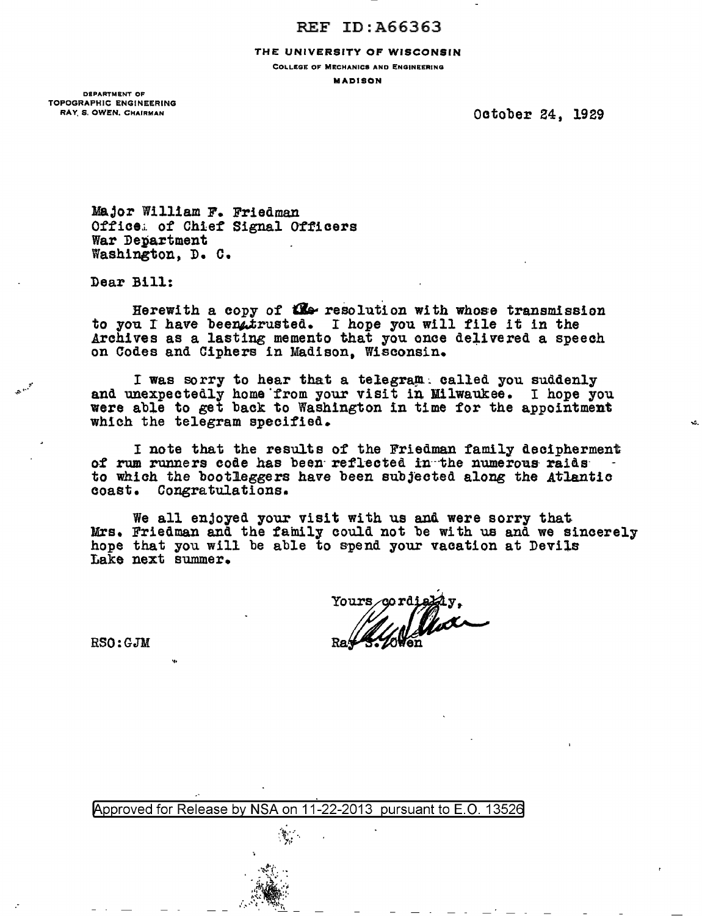REF ID:A66363

THE UNIVERSITY OF WISCONSIN

COLLEGE OF MECHANICS AND ENGINEERING

MADISON

DEPARTMENT OF TOPOGRAPHIC ENGINEERING RAY, S. OWEN. CHAIRMAN

October 24, 1929

...:;,

Major William F. Friedman Office. of Chief Signal Officers<br>War Department Washington, D. C.

Dear Bill:

Herewith a copy of  $\mathbb{C}$  resolution with whose transmission to you I have beenatrusted. I hope you will file it in the Archives as a lasting memento that you once delivered a speech on Codes and Ciphers in Madison, Wisconsin.

I was sorry to hear that a telegram: called you suddenly and unexpectedly home from your visit in Milwaukee. I hope you were able to get back to Washington in time for the appointment which the telegram specified.

<sup>I</sup>note that the results of the Friedman family decipherment of rum runners code has been reflected in the numerous raids to which the boot1eggers have been subjected along the Atlantic coast. Congratulations.

We all enjoyed your visit with us and were sorry that Mrs. Friedman and the fainily could not be with us and we sincerely hope that you will be able to spend your vacation at Devils Lake next summer.

Yours cordialy, Ray S. Zowen

RSO:GJM

.·

Approved for Release by NSA on 11-22-2013 pursuant to E.O. 13526